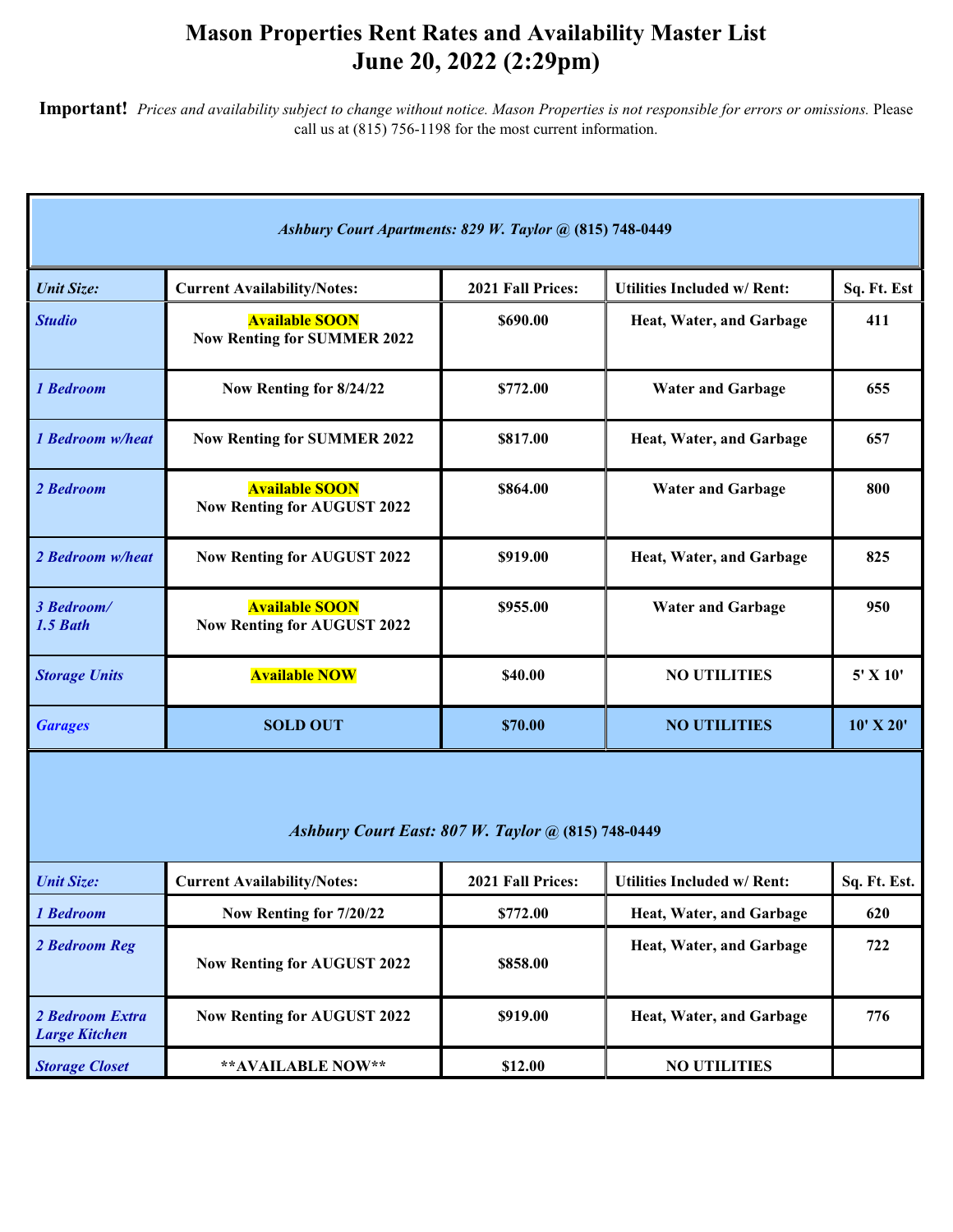## **Mason Properties Rent Rates and Availability Master List June 20, 2022 (2:29pm)**

**Important!** *Prices and availability subject to change without notice. Mason Properties is not responsible for errors or omissions.* Please call us at (815) 756-1198 for the most current information.

| Ashbury Court Apartments: 829 W. Taylor @ (815) 748-0449  |                                                             |                   |                                    |               |  |
|-----------------------------------------------------------|-------------------------------------------------------------|-------------------|------------------------------------|---------------|--|
| <b>Unit Size:</b>                                         | <b>Current Availability/Notes:</b>                          | 2021 Fall Prices: | <b>Utilities Included w/ Rent:</b> | Sq. Ft. Est   |  |
| <b>Studio</b>                                             | <b>Available SOON</b><br><b>Now Renting for SUMMER 2022</b> | \$690.00          | Heat, Water, and Garbage           | 411           |  |
| 1 Bedroom                                                 | Now Renting for 8/24/22                                     | \$772.00          | <b>Water and Garbage</b>           | 655           |  |
| 1 Bedroom w/heat                                          | <b>Now Renting for SUMMER 2022</b>                          | \$817.00          | Heat, Water, and Garbage           | 657           |  |
| 2 Bedroom                                                 | <b>Available SOON</b><br><b>Now Renting for AUGUST 2022</b> | \$864.00          | <b>Water and Garbage</b>           | 800           |  |
| 2 Bedroom w/heat                                          | <b>Now Renting for AUGUST 2022</b>                          | \$919.00          | Heat, Water, and Garbage           | 825           |  |
| 3 Bedroom/<br>1.5 Bath                                    | <b>Available SOON</b><br><b>Now Renting for AUGUST 2022</b> | \$955.00          | <b>Water and Garbage</b>           | 950           |  |
| <b>Storage Units</b>                                      | <b>Available NOW</b>                                        | \$40.00           | <b>NO UTILITIES</b>                | 5' X 10'      |  |
| <b>Garages</b>                                            | <b>SOLD OUT</b>                                             | \$70.00           | <b>NO UTILITIES</b>                | $10'$ X $20'$ |  |
| <b>Ashbury Court East: 807 W. Taylor @ (815) 748-0449</b> |                                                             |                   |                                    |               |  |
| <b>Unit Size:</b>                                         | <b>Current Availability/Notes:</b>                          | 2021 Fall Prices: | <b>Utilities Included w/ Rent:</b> | Sq. Ft. Est.  |  |
| 1 Bedroom                                                 | Now Renting for 7/20/22                                     | \$772.00          | Heat, Water, and Garbage           | 620           |  |
| 2 Bedroom Reg                                             | <b>Now Renting for AUGUST 2022</b>                          | \$858.00          | Heat, Water, and Garbage           | 722           |  |
| 2 Bedroom Extra<br><b>Large Kitchen</b>                   | <b>Now Renting for AUGUST 2022</b>                          | \$919.00          | Heat, Water, and Garbage           | 776           |  |
| <b>Storage Closet</b>                                     | ** AVAILABLE NOW**                                          | \$12.00           | <b>NO UTILITIES</b>                |               |  |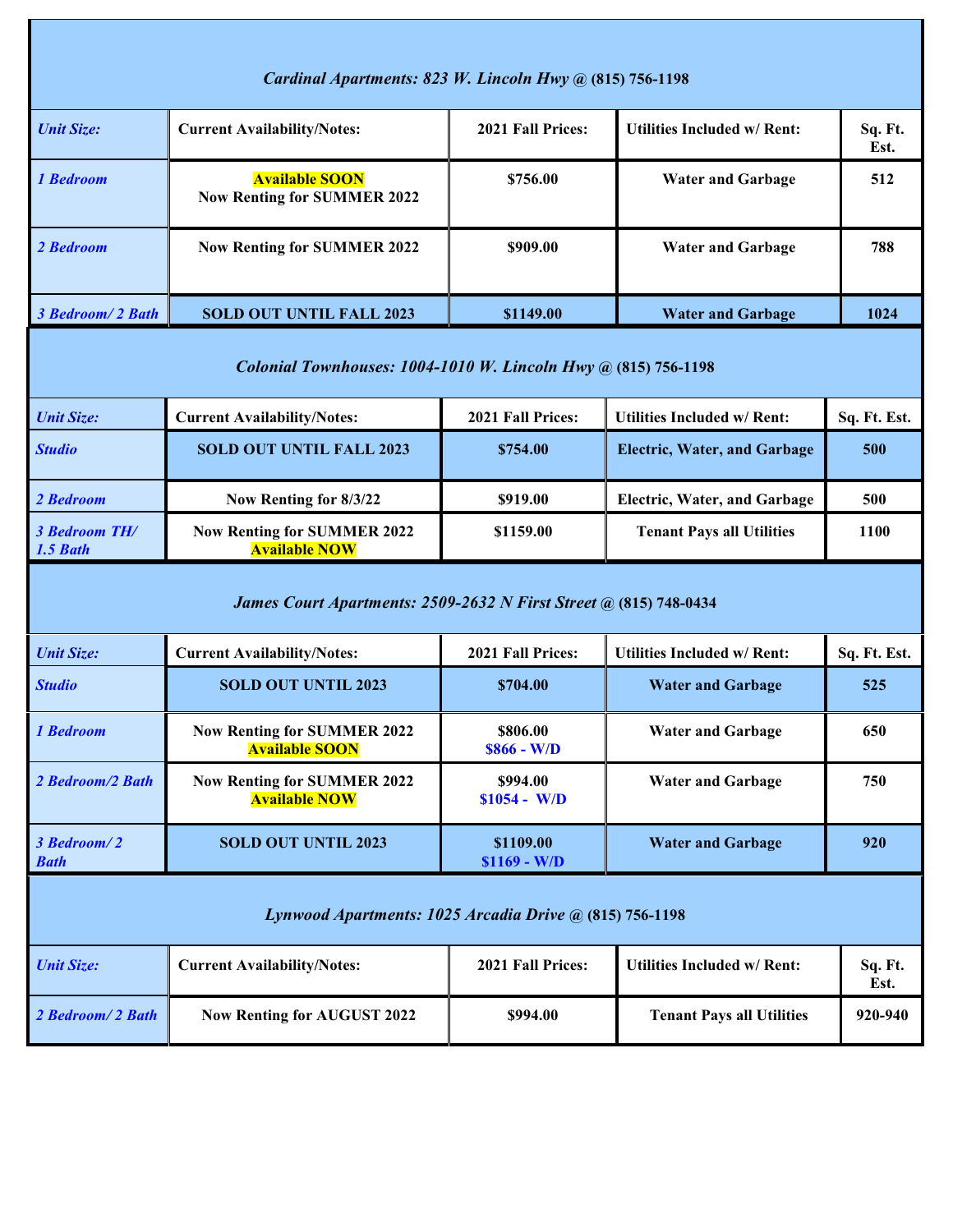| Cardinal Apartments: 823 W. Lincoln Hwy @ (815) 756-1198                 |                                                                |                            |                                     |                 |  |
|--------------------------------------------------------------------------|----------------------------------------------------------------|----------------------------|-------------------------------------|-----------------|--|
| <b>Unit Size:</b>                                                        | <b>Current Availability/Notes:</b>                             | 2021 Fall Prices:          | <b>Utilities Included w/ Rent:</b>  | Sq. Ft.<br>Est. |  |
| 1 Bedroom                                                                | <b>Available SOON</b><br><b>Now Renting for SUMMER 2022</b>    | \$756.00                   | <b>Water and Garbage</b>            | 512             |  |
| 2 Bedroom                                                                | <b>Now Renting for SUMMER 2022</b>                             | \$909.00                   | <b>Water and Garbage</b>            | 788             |  |
| 3 Bedroom/2 Bath                                                         | <b>SOLD OUT UNTIL FALL 2023</b>                                | \$1149.00                  | <b>Water and Garbage</b>            | 1024            |  |
|                                                                          | Colonial Townhouses: 1004-1010 W. Lincoln Hwy @ (815) 756-1198 |                            |                                     |                 |  |
| <b>Unit Size:</b>                                                        | <b>Current Availability/Notes:</b>                             | 2021 Fall Prices:          | <b>Utilities Included w/ Rent:</b>  | Sq. Ft. Est.    |  |
| <b>Studio</b>                                                            | <b>SOLD OUT UNTIL FALL 2023</b>                                | \$754.00                   | <b>Electric, Water, and Garbage</b> | 500             |  |
| 2 Bedroom                                                                | Now Renting for 8/3/22                                         | \$919.00                   | <b>Electric, Water, and Garbage</b> | 500             |  |
| <b>3 Bedroom TH/</b><br>1.5 Bath                                         | <b>Now Renting for SUMMER 2022</b><br><b>Available NOW</b>     | \$1159.00                  | <b>Tenant Pays all Utilities</b>    | 1100            |  |
| <b>James Court Apartments: 2509-2632 N First Street @ (815) 748-0434</b> |                                                                |                            |                                     |                 |  |
| <b>Unit Size:</b>                                                        | <b>Current Availability/Notes:</b>                             | 2021 Fall Prices:          | <b>Utilities Included w/ Rent:</b>  | Sq. Ft. Est.    |  |
| <b>Studio</b>                                                            | <b>SOLD OUT UNTIL 2023</b>                                     | \$704.00                   | <b>Water and Garbage</b>            | 525             |  |
| 1 Bedroom                                                                | <b>Now Renting for SUMMER 2022</b><br><b>Available SOON</b>    | \$806.00<br>$$866 - W/D$   | <b>Water and Garbage</b>            | 650             |  |
| 2 Bedroom/2 Bath                                                         | <b>Now Renting for SUMMER 2022</b><br><b>Available NOW</b>     | \$994.00<br>$$1054 - W/D$  | <b>Water and Garbage</b>            | 750             |  |
| 3 Bedroom/2<br><b>Bath</b>                                               | <b>SOLD OUT UNTIL 2023</b>                                     | \$1109.00<br>$$1169 - W/D$ | <b>Water and Garbage</b>            | 920             |  |
| Lynwood Apartments: 1025 Arcadia Drive @ (815) 756-1198                  |                                                                |                            |                                     |                 |  |
| <b>Unit Size:</b>                                                        | <b>Current Availability/Notes:</b>                             | 2021 Fall Prices:          | <b>Utilities Included w/ Rent:</b>  | Sq. Ft.<br>Est. |  |
| 2 Bedroom/2 Bath                                                         | <b>Now Renting for AUGUST 2022</b>                             | \$994.00                   | <b>Tenant Pays all Utilities</b>    | 920-940         |  |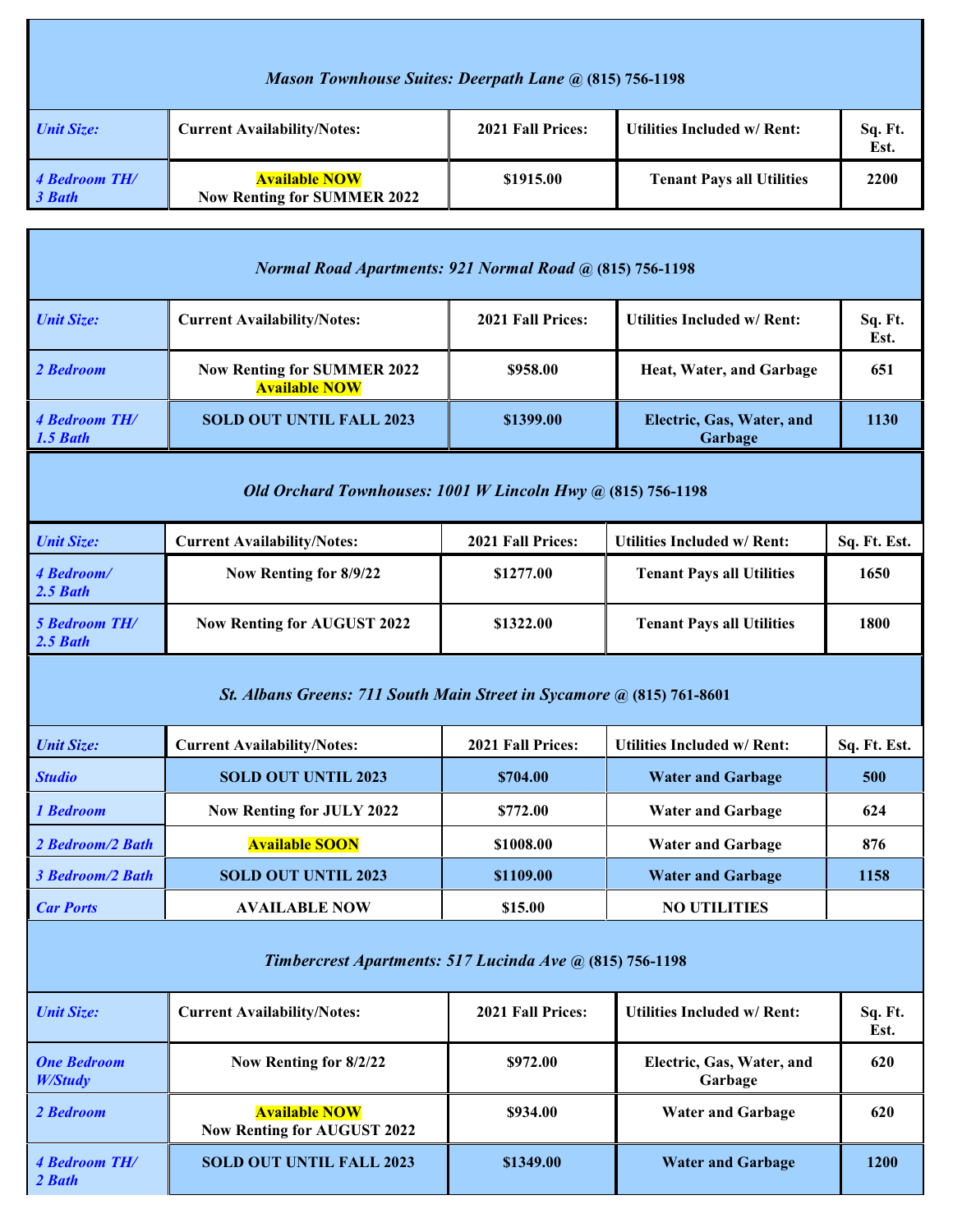| Mason Townhouse Suites: Deerpath Lane @ (815) 756-1198          |                                                            |                   |                                    |                 |  |  |
|-----------------------------------------------------------------|------------------------------------------------------------|-------------------|------------------------------------|-----------------|--|--|
| <b>Unit Size:</b>                                               | <b>Current Availability/Notes:</b>                         | 2021 Fall Prices: | <b>Utilities Included w/ Rent:</b> | Sq. Ft.<br>Est. |  |  |
| 4 Bedroom TH/<br>3 Bath                                         | <b>Available NOW</b><br><b>Now Renting for SUMMER 2022</b> | \$1915.00         | <b>Tenant Pays all Utilities</b>   | 2200            |  |  |
| <b>Normal Road Apartments: 921 Normal Road @ (815) 756-1198</b> |                                                            |                   |                                    |                 |  |  |
| <b>Unit Size:</b>                                               | <b>Current Availability/Notes:</b>                         | 2021 Fall Prices: | <b>Utilities Included w/ Rent:</b> | Sq. Ft.         |  |  |

|                                                                       |                                                            |                          |                                      | Est.         |  |  |
|-----------------------------------------------------------------------|------------------------------------------------------------|--------------------------|--------------------------------------|--------------|--|--|
| 2 Bedroom                                                             | <b>Now Renting for SUMMER 2022</b><br><b>Available NOW</b> | \$958.00                 | Heat, Water, and Garbage             | 651          |  |  |
| 4 Bedroom TH/<br>1.5 Bath                                             | <b>SOLD OUT UNTIL FALL 2023</b>                            | \$1399.00                | Electric, Gas, Water, and<br>Garbage | 1130         |  |  |
| Old Orchard Townhouses: 1001 W Lincoln Hwy @ (815) 756-1198           |                                                            |                          |                                      |              |  |  |
| <b>Unit Size:</b>                                                     | <b>Current Availability/Notes:</b>                         | <b>2021 Fall Prices:</b> | <b>Utilities Included w/ Rent:</b>   | Sq. Ft. Est. |  |  |
| 4 Bedroom/<br>$2.5$ Bath                                              | Now Renting for 8/9/22                                     | \$1277.00                | <b>Tenant Pays all Utilities</b>     | 1650         |  |  |
| <b>5 Bedroom TH/</b><br>2.5 Bath                                      | <b>Now Renting for AUGUST 2022</b>                         | \$1322.00                | <b>Tenant Pays all Utilities</b>     | 1800         |  |  |
| St. Albans Greens: 711 South Main Street in Sycamore @ (815) 761-8601 |                                                            |                          |                                      |              |  |  |
| <b>Unit Size:</b>                                                     | <b>Current Availability/Notes:</b>                         | 2021 Fall Prices:        | <b>Utilities Included w/ Rent:</b>   | Sq. Ft. Est. |  |  |
| <b>Studio</b>                                                         | <b>SOLD OUT UNTIL 2023</b>                                 | \$704.00                 | <b>Water and Garbage</b>             | 500          |  |  |
|                                                                       |                                                            |                          |                                      |              |  |  |

| 1 Bedroom        | <b>Now Renting for JULY 2022</b> | \$772.00  | <b>Water and Garbage</b> | 624  |
|------------------|----------------------------------|-----------|--------------------------|------|
| 2 Bedroom/2 Bath | <b>Available SOON</b>            | \$1008.00 | <b>Water and Garbage</b> | 876  |
| 3 Bedroom/2 Bath | <b>SOLD OUT UNTIL 2023</b>       | \$1109.00 | <b>Water and Garbage</b> | 1158 |
| <b>Car Ports</b> | <b>AVAILABLE NOW</b>             | \$15.00   | <b>NO UTILITIES</b>      |      |
|                  |                                  |           |                          |      |

## *Timbercrest Apartments: 517 Lucinda Ave* **@ (815) 756-1198**

| <b>Unit Size:</b>             | <b>Current Availability/Notes:</b>                         | 2021 Fall Prices: | <b>Utilities Included w/ Rent:</b>   | Sq. Ft.<br>Est. |
|-------------------------------|------------------------------------------------------------|-------------------|--------------------------------------|-----------------|
| <b>One Bedroom</b><br>W/Study | Now Renting for 8/2/22                                     | \$972.00          | Electric, Gas, Water, and<br>Garbage | 620             |
| 2 Bedroom                     | <b>Available NOW</b><br><b>Now Renting for AUGUST 2022</b> | \$934.00          | <b>Water and Garbage</b>             | 620             |
| 4 Bedroom TH/<br>2 Bath       | <b>SOLD OUT UNTIL FALL 2023</b>                            | \$1349.00         | <b>Water and Garbage</b>             | 1200            |